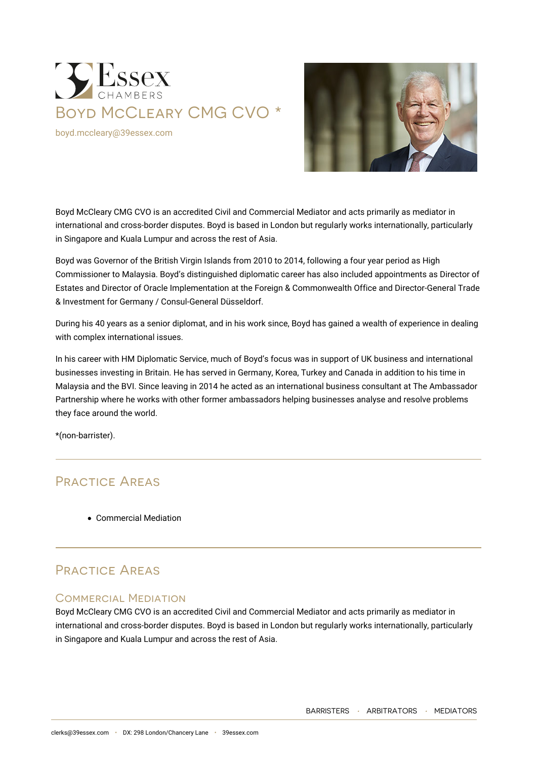

[boyd.mccleary@39essex.com](mailto:boyd.mccleary@39essex.com)



Boyd McCleary CMG CVO is an accredited Civil and Commercial Mediator and acts primarily as mediator in international and cross-border disputes. Boyd is based in London but regularly works internationally, particularly in Singapore and Kuala Lumpur and across the rest of Asia.

Boyd was Governor of the British Virgin Islands from 2010 to 2014, following a four year period as High Commissioner to Malaysia. Boyd's distinguished diplomatic career has also included appointments as Director of Estates and Director of Oracle Implementation at the Foreign & Commonwealth Office and Director-General Trade & Investment for Germany / Consul-General Düsseldorf.

During his 40 years as a senior diplomat, and in his work since, Boyd has gained a wealth of experience in dealing with complex international issues.

In his career with HM Diplomatic Service, much of Boyd's focus was in support of UK business and international businesses investing in Britain. He has served in Germany, Korea, Turkey and Canada in addition to his time in Malaysia and the BVI. Since leaving in 2014 he acted as an international business consultant at The Ambassador Partnership where he works with other former ambassadors helping businesses analyse and resolve problems they face around the world.

\*(non-barrister).

## Practice Areas

Commercial Mediation

# Practice Areas

### Commercial Mediation

Boyd McCleary CMG CVO is an accredited Civil and Commercial Mediator and acts primarily as mediator in international and cross-border disputes. Boyd is based in London but regularly works internationally, particularly in Singapore and Kuala Lumpur and across the rest of Asia.